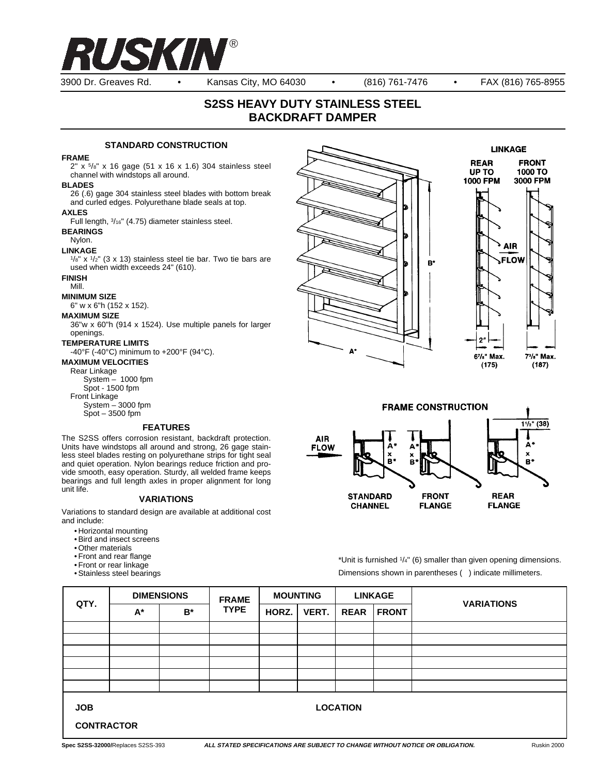

3900 Dr. Greaves Rd. • Kansas City, MO 64030 • (816) 761-7476 • FAX (816) 765-8955

# **S2SS HEAVY DUTY STAINLESS STEEL BACKDRAFT DAMPER**

## **STANDARD CONSTRUCTION**

#### **FRAME**

2" x 5/8" x 16 gage (51 x 16 x 1.6) 304 stainless steel channel with windstops all around.

#### **BLADES**

26 (.6) gage 304 stainless steel blades with bottom break and curled edges. Polyurethane blade seals at top.

## **AXLES**

Full length, 3/16" (4.75) diameter stainless steel.

## **BEARINGS**

## Nylon.

**LINKAGE**

 $1/s''$  x  $1/2''$  (3 x 13) stainless steel tie bar. Two tie bars are used when width exceeds 24" (610).

## **FINISH**

Mill.

#### **MINIMUM SIZE**

6" w x 6"h (152 x 152).

## **MAXIMUM SIZE**

36"w x 60"h (914 x 1524). Use multiple panels for larger openings.

#### **TEMPERATURE LIMITS**

-40°F (-40°C) minimum to +200°F (94°C).

### **MAXIMUM VELOCITIES**

Rear Linkage

System – 1000 fpm Spot - 1500 fpm

Front Linkage

System – 3000 fpm  $Spot - 3500$  fpm

#### **FEATURES**

The S2SS offers corrosion resistant, backdraft protection. Units have windstops all around and strong, 26 gage stainless steel blades resting on polyurethane strips for tight seal and quiet operation. Nylon bearings reduce friction and provide smooth, easy operation. Sturdy, all welded frame keeps bearings and full length axles in proper alignment for long unit life.

#### **VARIATIONS**

Variations to standard design are available at additional cost and include:

- Horizontal mounting
- Bird and insect screens
- Other materials
- Front and rear flange
- Front or rear linkage
- Stainless steel bearings





\*Unit is furnished 1/4" (6) smaller than given opening dimensions. Dimensions shown in parentheses ( ) indicate millimeters.

| QTY.                                               | <b>DIMENSIONS</b> |       | <b>FRAME</b> | <b>MOUNTING</b> |              | <b>LINKAGE</b> |              |                   |
|----------------------------------------------------|-------------------|-------|--------------|-----------------|--------------|----------------|--------------|-------------------|
|                                                    | $A^*$             | $B^*$ | <b>TYPE</b>  | HORZ.           | <b>VERT.</b> | <b>REAR</b>    | <b>FRONT</b> | <b>VARIATIONS</b> |
|                                                    |                   |       |              |                 |              |                |              |                   |
|                                                    |                   |       |              |                 |              |                |              |                   |
|                                                    |                   |       |              |                 |              |                |              |                   |
|                                                    |                   |       |              |                 |              |                |              |                   |
|                                                    |                   |       |              |                 |              |                |              |                   |
|                                                    |                   |       |              |                 |              |                |              |                   |
| <b>LOCATION</b><br><b>JOB</b><br><b>CONTRACTOR</b> |                   |       |              |                 |              |                |              |                   |
|                                                    |                   |       |              |                 |              |                |              |                   |